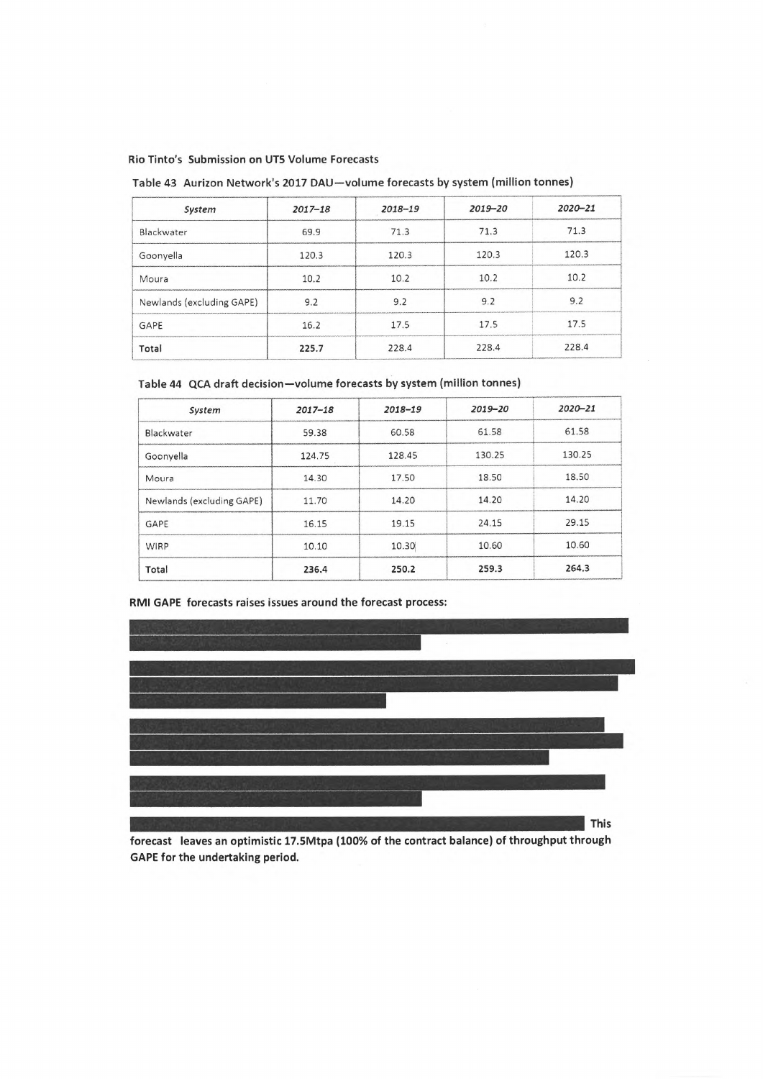Rio Tinto's Submission on UT5 Volume Forecasts

Table 43 Aurizon Network's 2017 DAD—volume forecasts by system (million tonnes)

| System                    | $2017 - 18$ | $2018 - 19$ | $2019 - 20$ | $2020 - 21$ |
|---------------------------|-------------|-------------|-------------|-------------|
| Blackwater                | 69.9        | 71.3        | 71.3        | 71.3        |
| Goonyella                 | 120.3       | 120.3       | 120.3       | 120.3       |
| Moura                     | 10.2        | 10.2        | 10.2        | 10.2        |
| Newlands (excluding GAPE) | 9.2         | 9.2         | 9.2         | 9.2         |
| GAPE                      | 16.2        | 17.5        | 17.5        | 17.5        |
| Total                     | 225.7       | 228.4       | 228.4       | 228.4       |

Table 44 QCA draft decision—volume forecasts by system (million tonnes)

| System                    | $2017 - 18$ | $2018 - 19$ | $2019 - 20$ | 2020-21 |
|---------------------------|-------------|-------------|-------------|---------|
| Blackwater                | 59.38       | 60.58       | 61.58       | 61.58   |
| Goonyella                 | 124.75      | 128.45      | 130.25      | 130.25  |
| Moura                     | 14.30       | 17.50       | 18.50       | 18.50   |
| Newlands (excluding GAPE) | 11.70       | 14.20       | 14.20       | 14.20   |
| GAPE                      | 16.15       | 19.15       | 24.15       | 29.15   |
| WIRP                      | 10.10       | 10.30       | 10.60       | 10.60   |
| Total                     | 236.4       | 250.2       | 259.3       | 264.3   |

## RMI GAPE forecasts raises issues around the forecast process:



forecast leaves an optimistic 17.5Mtpa (100% of the contract balance) of throughput through GAPE for the undertaking period.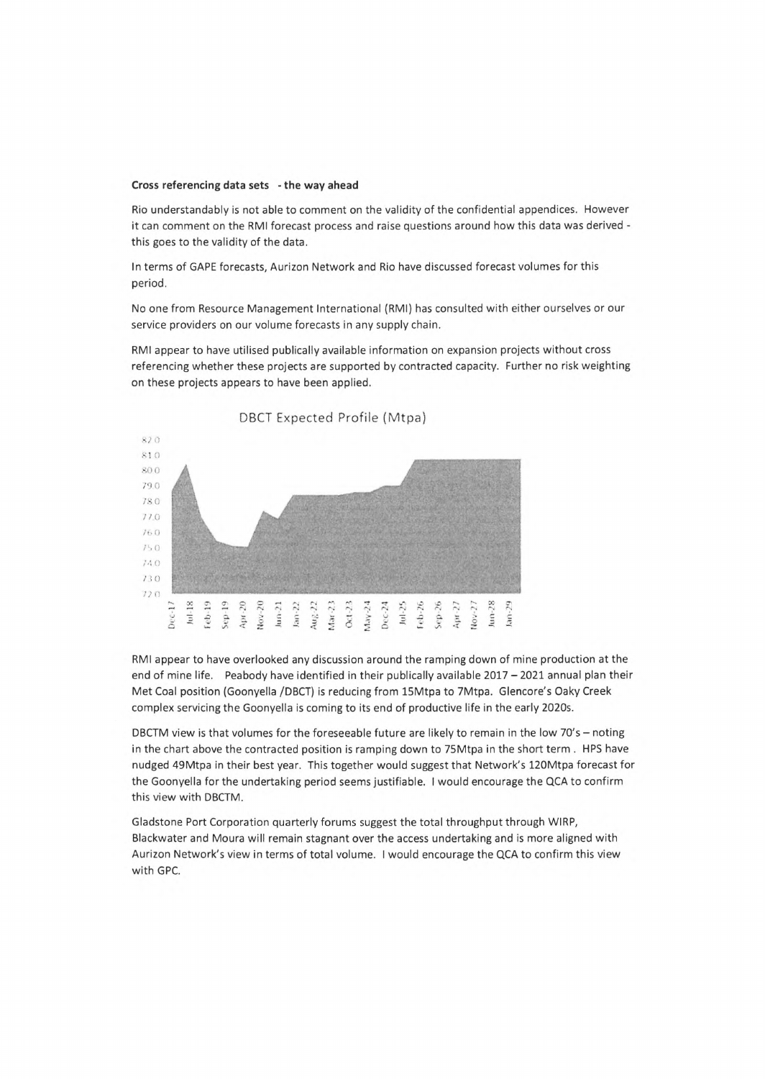## **Cross referencing data sets - the way ahead**

Rio understandably is not able to comment on the validity of the confidential appendices. However it can comment on the RMI forecast process and raise questions around how this data was derived this goes to the validity of the data.

In terms of GAPE forecasts, Aurizon Network and Rio have discussed forecast volumes for this period.

No one from Resource Management International (RMI) has consulted with either ourselves or our service providers on our volume forecasts in any supply chain.

RMI appear to have utilised publically available information on expansion projects without cross referencing whether these projects are supported by contracted capacity. Further no risk weighting on these projects appears to have been applied.



RMI appear to have overlooked any discussion around the ramping down of mine production at the end of mine life. Peabody have identified in their publically available  $2017 - 2021$  annual plan their Met Coal position (Goonyella /DBCT) is reducing from 15Mtpa to 7Mtpa. Glencore's Oaky Creek complex servicing the Goonyella is coming to its end of productive life in the early 2020s.

DBCTM view is that volumes for the foreseeable future are likely to remain in the low  $70's - \text{noting}$ in the chart above the contracted position is ramping down to 75Mtpa in the short term . HPS have nudged 49Mtpa in their best year. This together would suggest that Network's 120Mtpa forecast for the Goonyella for the undertaking period seems justifiable. <sup>I</sup> would encourage the QCA to confirm this view with DBCTM.

Gladstone Port Corporation quarterly forums suggest the total throughput through WIRP, Blackwater and Moura will remain stagnant over the access undertaking and is more aligned with Aurizon Network's view in terms of total volume. <sup>I</sup> would encourage the QCA to confirm this view with GPC.